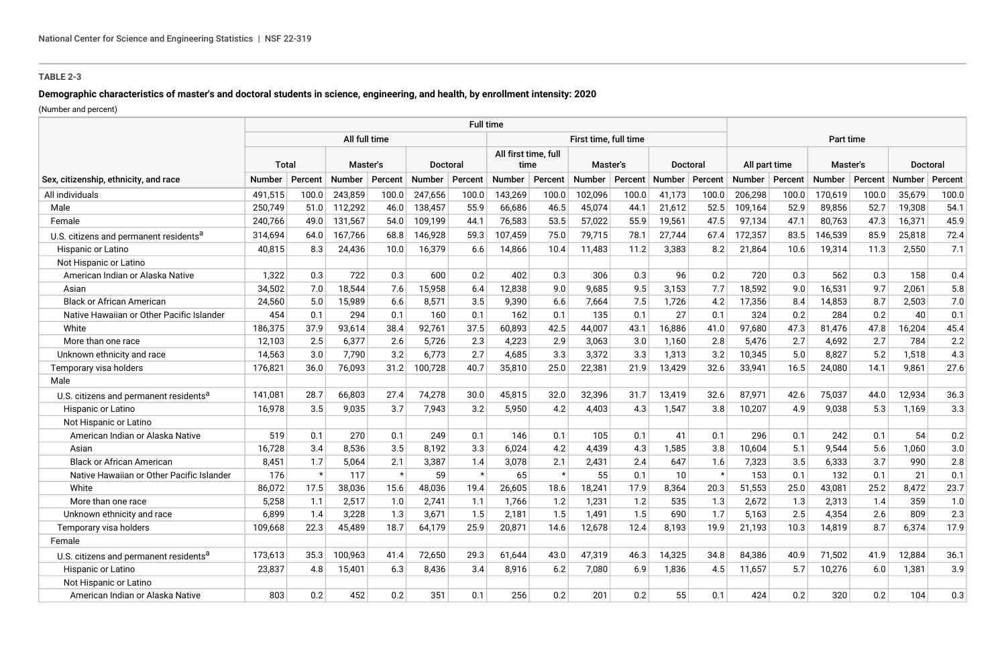## **TABLE 2-3**

# **Demographic characteristics of master's and doctoral students in science, engineering, and health, by enrollment intensity: 2020**

(Number and percent)

|                                                    | <b>Full time</b> |         |          |         |                 |         |                              |         |                       |         |                  |           |                  |       |          |         |                 |         |
|----------------------------------------------------|------------------|---------|----------|---------|-----------------|---------|------------------------------|---------|-----------------------|---------|------------------|-----------|------------------|-------|----------|---------|-----------------|---------|
|                                                    | All full time    |         |          |         |                 |         |                              |         | First time, full time |         |                  | Part time |                  |       |          |         |                 |         |
|                                                    | Total            |         | Master's |         | <b>Doctoral</b> |         | All first time, full<br>time |         | Master's              |         | Doctoral         |           | All part time    |       | Master's |         | <b>Doctoral</b> |         |
| Sex, citizenship, ethnicity, and race              | Number           | Percent | Number   | Percent | Number          | Percent | <b>Number</b>                | Percent | Number                | Percent | Number   Percent |           | Number   Percent |       | Number   | Percent | Number          | Percent |
| All individuals                                    | 491,515          | 100.0   | 243,859  | 100.0   | 247,656         | 100.0   | 143,269                      | 100.0   | 102,096               | 100.0   | 41,173           | 100.0     | 206,298          | 100.0 | 170,619  | 100.0   | 35,679          | 100.0   |
| Male                                               | 250,749          | 51.0    | 112,292  | 46.0    | 138,457         | 55.9    | 66,686                       | 46.5    | 45,074                | 44.1    | 21,612           | 52.5      | 109,164          | 52.9  | 89,856   | 52.7    | 19,308          | 54.1    |
| Female                                             | 240,766          | 49.0    | 131,567  | 54.0    | 109,199         | 44.1    | 76,583                       | 53.5    | 57,022                | 55.9    | 19,561           | 47.5      | 97,134           | 47.1  | 80,763   | 47.3    | 16,371          | 45.9    |
| U.S. citizens and permanent residents <sup>a</sup> | 314,694          | 64.0    | 167,766  | 68.8    | 146,928         | 59.3    | 107,459                      | 75.0    | 79,715                | 78.1    | 27,744           | 67.4      | 172,357          | 83.5  | 146,539  | 85.9    | 25,818          | 72.4    |
| Hispanic or Latino                                 | 40,815           | 8.3     | 24,436   | 10.0    | 16,379          | 6.6     | 14,866                       | 10.4    | 11,483                | 11.2    | 3,383            | 8.2       | 21,864           | 10.6  | 19,314   | 11.3    | 2,550           | 7.1     |
| Not Hispanic or Latino                             |                  |         |          |         |                 |         |                              |         |                       |         |                  |           |                  |       |          |         |                 |         |
| American Indian or Alaska Native                   | 1.322            | 0.3     | 722      | 0.3     | 600             | 0.2     | 402                          | 0.3     | 306                   | 0.3     | 96               | 0.2       | 720              | 0.3   | 562      | 0.3     | 158             | 0.4     |
| Asian                                              | 34,502           | 7.0     | 18,544   | 7.6     | 15,958          | 6.4     | 12,838                       | 9.0     | 9,685                 | 9.5     | 3,153            | 7.7       | 18,592           | 9.0   | 16,531   | 9.7     | 2,061           | 5.8     |
| <b>Black or African American</b>                   | 24,560           | 5.0     | 15,989   | 6.6     | 8,571           | 3.5     | 9,390                        | 6.6     | 7,664                 | 7.5     | 1,726            | 4.2       | 17,356           | 8.4   | 14,853   | 8.7     | 2,503           | 7.0     |
| Native Hawaiian or Other Pacific Islander          | 454              | 0.1     | 294      | 0.1     | 160             | 0.1     | 162                          | 0.1     | 135                   | 0.1     | 27               | 0.1       | 324              | 0.2   | 284      | 0.2     | 40              | 0.1     |
| White                                              | 186,375          | 37.9    | 93,614   | 38.4    | 92,761          | 37.5    | 60,893                       | 42.5    | 44,007                | 43.1    | 16,886           | 41.0      | 97,680           | 47.3  | 81,476   | 47.8    | 16,204          | 45.4    |
| More than one race                                 | 12,103           | 2.5     | 6,377    | 2.6     | 5,726           | 2.3     | 4,223                        | 2.9     | 3,063                 | 3.0     | 1,160            | 2.8       | 5,476            | 2.7   | 4,692    | 2.7     | 784             | 2.2     |
| Unknown ethnicity and race                         | 14,563           | 3.0     | 7,790    | 3.2     | 6,773           | 2.7     | 4,685                        | 3.3     | 3,372                 | 3.3     | 1,313            | 3.2       | 10,345           | 5.0   | 8,827    | 5.2     | 1,518           | 4.3     |
| Temporary visa holders                             | 176,821          | 36.0    | 76,093   | 31.2    | 100,728         | 40.7    | 35,810                       | 25.0    | 22,381                | 21.9    | 13,429           | 32.6      | 33,941           | 16.5  | 24,080   | 14.1    | 9,861           | 27.6    |
| Male                                               |                  |         |          |         |                 |         |                              |         |                       |         |                  |           |                  |       |          |         |                 |         |
| U.S. citizens and permanent residents <sup>a</sup> | 141,081          | 28.7    | 66,803   | 27.4    | 74,278          | 30.0    | 45,815                       | 32.0    | 32,396                | 31.7    | 13,419           | 32.6      | 87,971           | 42.6  | 75,037   | 44.0    | 12,934          | 36.3    |
| <b>Hispanic or Latino</b>                          | 16,978           | 3.5     | 9,035    | 3.7     | 7,943           | 3.2     | 5,950                        | 4.2     | 4,403                 | 4.3     | 1,547            | 3.8       | 10,207           | 4.9   | 9,038    | 5.3     | 1,169           | 3.3     |
| Not Hispanic or Latino                             |                  |         |          |         |                 |         |                              |         |                       |         |                  |           |                  |       |          |         |                 |         |
| American Indian or Alaska Native                   | 519              | 0.1     | 270      | 0.1     | 249             | 0.1     | 146                          | 0.1     | 105                   | 0.1     | 41               | 0.1       | 296              | 0.1   | 242      | 0.1     | 54              | 0.2     |
| Asian                                              | 16,728           | 3.4     | 8,536    | 3.5     | 8,192           | 3.3     | 6,024                        | 4.2     | 4,439                 | 4.3     | 1,585            | 3.8       | 10,604           | 5.1   | 9,544    | 5.6     | 1,060           | 3.0     |
| <b>Black or African American</b>                   | 8,451            | 1.7     | 5,064    | 2.1     | 3,387           | 1.4     | 3,078                        | 2.1     | 2,431                 | 2.4     | 647              | 1.6       | 7,323            | 3.5   | 6,333    | 3.7     | 990             | 2.8     |
| Native Hawaiian or Other Pacific Islander          | 176              | $\star$ | 117      | $\star$ | 59              |         | 65                           | $\star$ | 55                    | 0.1     | 10               | $\star$   | 153              | 0.1   | 132      | 0.1     | 21              | 0.1     |
| White                                              | 86,072           | 17.5    | 38,036   | 15.6    | 48,036          | 19.4    | 26,605                       | 18.6    | 18,241                | 17.9    | 8,364            | 20.3      | 51,553           | 25.0  | 43,081   | 25.2    | 8,472           | 23.7    |
| More than one race                                 | 5,258            | 1.1     | 2,517    | 1.0     | 2,741           | 1.1     | 1,766                        | 1.2     | 1,231                 | 1.2     | 535              | 1.3       | 2,672            | 1.3   | 2,313    | 1.4     | 359             | 1.0     |
| Unknown ethnicity and race                         | 6,899            | 1.4     | 3,228    | 1.3     | 3,671           | 1.5     | 2,181                        | 1.5     | 1,491                 | 1.5     | 690              | 1.7       | 5,163            | 2.5   | 4,354    | 2.6     | 809             | 2.3     |
| Temporary visa holders                             | 109,668          | 22.3    | 45,489   | 18.7    | 64,179          | 25.9    | 20,871                       | 14.6    | 12,678                | 12.4    | 8,193            | 19.9      | 21,193           | 10.3  | 14,819   | 8.7     | 6.374           | 17.9    |
| Female                                             |                  |         |          |         |                 |         |                              |         |                       |         |                  |           |                  |       |          |         |                 |         |
| U.S. citizens and permanent residents <sup>a</sup> | 173,613          | 35.3    | 100,963  | 41.4    | 72,650          | 29.3    | 61,644                       | 43.0    | 47,319                | 46.3    | 14,325           | 34.8      | 84,386           | 40.9  | 71,502   | 41.9    | 12,884          | 36.1    |
| <b>Hispanic or Latino</b>                          | 23,837           | 4.8     | 15,401   | 6.3     | 8,436           | 3.4     | 8,916                        | 6.2     | 7,080                 | 6.9     | 1,836            | 4.5       | 11,657           | 5.7   | 10,276   | 6.0     | 1,381           | 3.9     |
| Not Hispanic or Latino                             |                  |         |          |         |                 |         |                              |         |                       |         |                  |           |                  |       |          |         |                 |         |
| American Indian or Alaska Native                   | 803              | 0.2     | 452      | 0.2     | 351             | 0.1     | 256                          | 0.2     | 201                   | 0.2     | 55               | 0.1       | 424              | 0.2   | 320      | 0.2     | 104             | 0.3     |